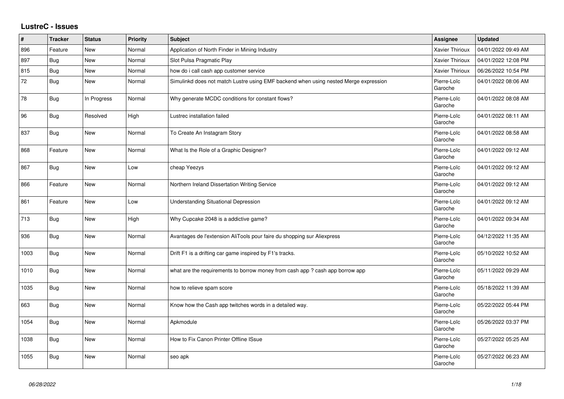## **LustreC - Issues**

| #    | <b>Tracker</b> | <b>Status</b> | Priority | <b>Subject</b>                                                                       | Assignee               | <b>Updated</b>      |
|------|----------------|---------------|----------|--------------------------------------------------------------------------------------|------------------------|---------------------|
| 896  | Feature        | <b>New</b>    | Normal   | Application of North Finder in Mining Industry                                       | Xavier Thirioux        | 04/01/2022 09:49 AM |
| 897  | Bug            | <b>New</b>    | Normal   | Slot Pulsa Pragmatic Play                                                            | Xavier Thirioux        | 04/01/2022 12:08 PM |
| 815  | <b>Bug</b>     | <b>New</b>    | Normal   | how do i call cash app customer service                                              | Xavier Thirioux        | 06/26/2022 10:54 PM |
| 72   | <b>Bug</b>     | New           | Normal   | Simulinkd does not match Lustre using EMF backend when using nested Merge expression | Pierre-Loïc<br>Garoche | 04/01/2022 08:06 AM |
| 78   | Bug            | In Progress   | Normal   | Why generate MCDC conditions for constant flows?                                     | Pierre-Loïc<br>Garoche | 04/01/2022 08:08 AM |
| 96   | <b>Bug</b>     | Resolved      | High     | Lustrec installation failed                                                          | Pierre-Loïc<br>Garoche | 04/01/2022 08:11 AM |
| 837  | <b>Bug</b>     | New           | Normal   | To Create An Instagram Story                                                         | Pierre-Loïc<br>Garoche | 04/01/2022 08:58 AM |
| 868  | Feature        | New           | Normal   | What Is the Role of a Graphic Designer?                                              | Pierre-Loïc<br>Garoche | 04/01/2022 09:12 AM |
| 867  | Bug            | <b>New</b>    | Low      | cheap Yeezys                                                                         | Pierre-Loïc<br>Garoche | 04/01/2022 09:12 AM |
| 866  | Feature        | New           | Normal   | Northern Ireland Dissertation Writing Service                                        | Pierre-Loïc<br>Garoche | 04/01/2022 09:12 AM |
| 861  | Feature        | <b>New</b>    | Low      | <b>Understanding Situational Depression</b>                                          | Pierre-Loïc<br>Garoche | 04/01/2022 09:12 AM |
| 713  | <b>Bug</b>     | New           | High     | Why Cupcake 2048 is a addictive game?                                                | Pierre-Loïc<br>Garoche | 04/01/2022 09:34 AM |
| 936  | <b>Bug</b>     | New           | Normal   | Avantages de l'extension AliTools pour faire du shopping sur Aliexpress              | Pierre-Loïc<br>Garoche | 04/12/2022 11:35 AM |
| 1003 | Bug            | New           | Normal   | Drift F1 is a drifting car game inspired by F1's tracks.                             | Pierre-Loïc<br>Garoche | 05/10/2022 10:52 AM |
| 1010 | Bug            | <b>New</b>    | Normal   | what are the requirements to borrow money from cash app ? cash app borrow app        | Pierre-Loïc<br>Garoche | 05/11/2022 09:29 AM |
| 1035 | Bug            | New           | Normal   | how to relieve spam score                                                            | Pierre-Loïc<br>Garoche | 05/18/2022 11:39 AM |
| 663  | <b>Bug</b>     | New           | Normal   | Know how the Cash app twitches words in a detailed way.                              | Pierre-Loïc<br>Garoche | 05/22/2022 05:44 PM |
| 1054 | <b>Bug</b>     | New           | Normal   | Apkmodule                                                                            | Pierre-Loïc<br>Garoche | 05/26/2022 03:37 PM |
| 1038 | Bug            | <b>New</b>    | Normal   | How to Fix Canon Printer Offline ISsue                                               | Pierre-Loïc<br>Garoche | 05/27/2022 05:25 AM |
| 1055 | <b>Bug</b>     | <b>New</b>    | Normal   | seo apk                                                                              | Pierre-Loïc<br>Garoche | 05/27/2022 06:23 AM |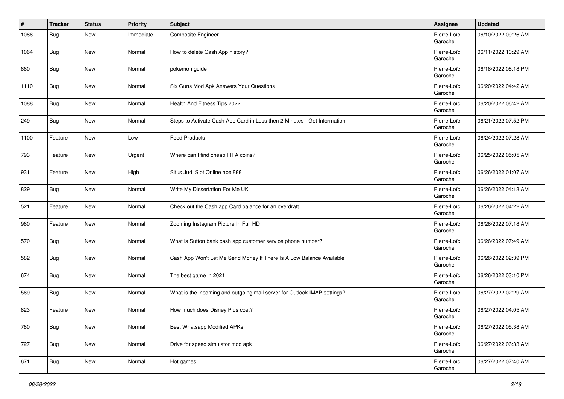| $\pmb{\#}$ | <b>Tracker</b> | <b>Status</b> | <b>Priority</b> | <b>Subject</b>                                                           | Assignee               | <b>Updated</b>      |
|------------|----------------|---------------|-----------------|--------------------------------------------------------------------------|------------------------|---------------------|
| 1086       | Bug            | New           | Immediate       | Composite Engineer                                                       | Pierre-Loïc<br>Garoche | 06/10/2022 09:26 AM |
| 1064       | Bug            | <b>New</b>    | Normal          | How to delete Cash App history?                                          | Pierre-Loïc<br>Garoche | 06/11/2022 10:29 AM |
| 860        | Bug            | New           | Normal          | pokemon guide                                                            | Pierre-Loïc<br>Garoche | 06/18/2022 08:18 PM |
| 1110       | Bug            | New           | Normal          | Six Guns Mod Apk Answers Your Questions                                  | Pierre-Loïc<br>Garoche | 06/20/2022 04:42 AM |
| 1088       | Bug            | New           | Normal          | Health And Fitness Tips 2022                                             | Pierre-Loïc<br>Garoche | 06/20/2022 06:42 AM |
| 249        | <b>Bug</b>     | New           | Normal          | Steps to Activate Cash App Card in Less then 2 Minutes - Get Information | Pierre-Loïc<br>Garoche | 06/21/2022 07:52 PM |
| 1100       | Feature        | New           | Low             | <b>Food Products</b>                                                     | Pierre-Loïc<br>Garoche | 06/24/2022 07:28 AM |
| 793        | Feature        | New           | Urgent          | Where can I find cheap FIFA coins?                                       | Pierre-Loïc<br>Garoche | 06/25/2022 05:05 AM |
| 931        | Feature        | New           | High            | Situs Judi Slot Online apel888                                           | Pierre-Loïc<br>Garoche | 06/26/2022 01:07 AM |
| 829        | Bug            | New           | Normal          | Write My Dissertation For Me UK                                          | Pierre-Loïc<br>Garoche | 06/26/2022 04:13 AM |
| 521        | Feature        | New           | Normal          | Check out the Cash app Card balance for an overdraft.                    | Pierre-Loïc<br>Garoche | 06/26/2022 04:22 AM |
| 960        | Feature        | <b>New</b>    | Normal          | Zooming Instagram Picture In Full HD                                     | Pierre-Loïc<br>Garoche | 06/26/2022 07:18 AM |
| 570        | Bug            | New           | Normal          | What is Sutton bank cash app customer service phone number?              | Pierre-Loïc<br>Garoche | 06/26/2022 07:49 AM |
| 582        | Bug            | New           | Normal          | Cash App Won't Let Me Send Money If There Is A Low Balance Available     | Pierre-Loïc<br>Garoche | 06/26/2022 02:39 PM |
| 674        | Bug            | New           | Normal          | The best game in 2021                                                    | Pierre-Loïc<br>Garoche | 06/26/2022 03:10 PM |
| 569        | <b>Bug</b>     | New           | Normal          | What is the incoming and outgoing mail server for Outlook IMAP settings? | Pierre-Loïc<br>Garoche | 06/27/2022 02:29 AM |
| 823        | Feature        | New           | Normal          | How much does Disney Plus cost?                                          | Pierre-Loïc<br>Garoche | 06/27/2022 04:05 AM |
| 780        | <b>Bug</b>     | New           | Normal          | Best Whatsapp Modified APKs                                              | Pierre-Loïc<br>Garoche | 06/27/2022 05:38 AM |
| 727        | <b>Bug</b>     | New           | Normal          | Drive for speed simulator mod apk                                        | Pierre-Loïc<br>Garoche | 06/27/2022 06:33 AM |
| 671        | <b>Bug</b>     | New           | Normal          | Hot games                                                                | Pierre-Loïc<br>Garoche | 06/27/2022 07:40 AM |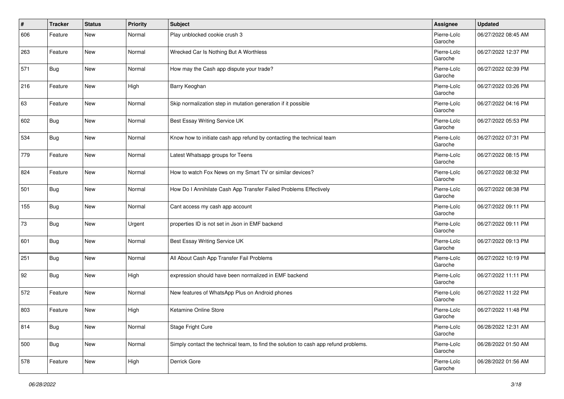| #   | <b>Tracker</b> | <b>Status</b> | <b>Priority</b> | <b>Subject</b>                                                                       | Assignee               | <b>Updated</b>      |
|-----|----------------|---------------|-----------------|--------------------------------------------------------------------------------------|------------------------|---------------------|
| 606 | Feature        | New           | Normal          | Play unblocked cookie crush 3                                                        | Pierre-Loïc<br>Garoche | 06/27/2022 08:45 AM |
| 263 | Feature        | <b>New</b>    | Normal          | Wrecked Car Is Nothing But A Worthless                                               | Pierre-Loïc<br>Garoche | 06/27/2022 12:37 PM |
| 571 | Bug            | New           | Normal          | How may the Cash app dispute your trade?                                             | Pierre-Loïc<br>Garoche | 06/27/2022 02:39 PM |
| 216 | Feature        | New           | High            | Barry Keoghan                                                                        | Pierre-Loïc<br>Garoche | 06/27/2022 03:26 PM |
| 63  | Feature        | New           | Normal          | Skip normalization step in mutation generation if it possible                        | Pierre-Loïc<br>Garoche | 06/27/2022 04:16 PM |
| 602 | Bug            | New           | Normal          | Best Essay Writing Service UK                                                        | Pierre-Loïc<br>Garoche | 06/27/2022 05:53 PM |
| 534 | Bug            | New           | Normal          | Know how to initiate cash app refund by contacting the technical team                | Pierre-Loïc<br>Garoche | 06/27/2022 07:31 PM |
| 779 | Feature        | <b>New</b>    | Normal          | Latest Whatsapp groups for Teens                                                     | Pierre-Loïc<br>Garoche | 06/27/2022 08:15 PM |
| 824 | Feature        | New           | Normal          | How to watch Fox News on my Smart TV or similar devices?                             | Pierre-Loïc<br>Garoche | 06/27/2022 08:32 PM |
| 501 | Bug            | <b>New</b>    | Normal          | How Do I Annihilate Cash App Transfer Failed Problems Effectively                    | Pierre-Loïc<br>Garoche | 06/27/2022 08:38 PM |
| 155 | Bug            | <b>New</b>    | Normal          | Cant access my cash app account                                                      | Pierre-Loïc<br>Garoche | 06/27/2022 09:11 PM |
| 73  | Bug            | New           | Urgent          | properties ID is not set in Json in EMF backend                                      | Pierre-Loïc<br>Garoche | 06/27/2022 09:11 PM |
| 601 | Bug            | New           | Normal          | Best Essay Writing Service UK                                                        | Pierre-Loïc<br>Garoche | 06/27/2022 09:13 PM |
| 251 | Bug            | New           | Normal          | All About Cash App Transfer Fail Problems                                            | Pierre-Loïc<br>Garoche | 06/27/2022 10:19 PM |
| 92  | Bug            | <b>New</b>    | High            | expression should have been normalized in EMF backend                                | Pierre-Loïc<br>Garoche | 06/27/2022 11:11 PM |
| 572 | Feature        | <b>New</b>    | Normal          | New features of WhatsApp Plus on Android phones                                      | Pierre-Loïc<br>Garoche | 06/27/2022 11:22 PM |
| 803 | Feature        | <b>New</b>    | High            | Ketamine Online Store                                                                | Pierre-Loïc<br>Garoche | 06/27/2022 11:48 PM |
| 814 | Bug            | New           | Normal          | Stage Fright Cure                                                                    | Pierre-Loïc<br>Garoche | 06/28/2022 12:31 AM |
| 500 | Bug            | New           | Normal          | Simply contact the technical team, to find the solution to cash app refund problems. | Pierre-Loïc<br>Garoche | 06/28/2022 01:50 AM |
| 578 | Feature        | New           | High            | Derrick Gore                                                                         | Pierre-Loïc<br>Garoche | 06/28/2022 01:56 AM |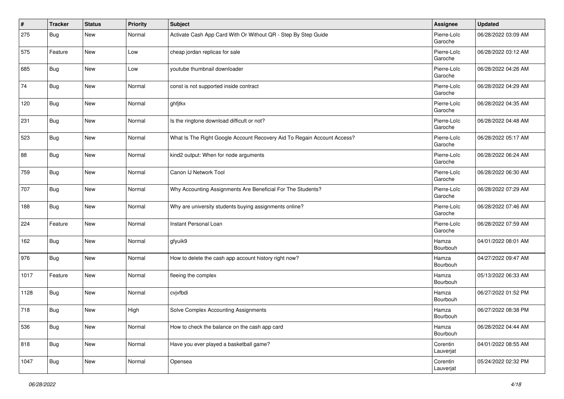| #    | <b>Tracker</b> | <b>Status</b> | <b>Priority</b> | <b>Subject</b>                                                          | Assignee               | <b>Updated</b>      |
|------|----------------|---------------|-----------------|-------------------------------------------------------------------------|------------------------|---------------------|
| 275  | Bug            | <b>New</b>    | Normal          | Activate Cash App Card With Or Without QR - Step By Step Guide          | Pierre-Loïc<br>Garoche | 06/28/2022 03:09 AM |
| 575  | Feature        | <b>New</b>    | Low             | cheap jordan replicas for sale                                          | Pierre-Loïc<br>Garoche | 06/28/2022 03:12 AM |
| 685  | <b>Bug</b>     | New           | Low             | youtube thumbnail downloader                                            | Pierre-Loïc<br>Garoche | 06/28/2022 04:26 AM |
| 74   | Bug            | <b>New</b>    | Normal          | const is not supported inside contract                                  | Pierre-Loïc<br>Garoche | 06/28/2022 04:29 AM |
| 120  | Bug            | New           | Normal          | ghfjtkx                                                                 | Pierre-Loïc<br>Garoche | 06/28/2022 04:35 AM |
| 231  | Bug            | New           | Normal          | Is the ringtone download difficult or not?                              | Pierre-Loïc<br>Garoche | 06/28/2022 04:48 AM |
| 523  | Bug            | New           | Normal          | What Is The Right Google Account Recovery Aid To Regain Account Access? | Pierre-Loïc<br>Garoche | 06/28/2022 05:17 AM |
| 88   | Bug            | <b>New</b>    | Normal          | kind2 output: When for node arguments                                   | Pierre-Loïc<br>Garoche | 06/28/2022 06:24 AM |
| 759  | Bug            | <b>New</b>    | Normal          | Canon IJ Network Tool                                                   | Pierre-Loïc<br>Garoche | 06/28/2022 06:30 AM |
| 707  | <b>Bug</b>     | New           | Normal          | Why Accounting Assignments Are Beneficial For The Students?             | Pierre-Loïc<br>Garoche | 06/28/2022 07:29 AM |
| 188  | <b>Bug</b>     | <b>New</b>    | Normal          | Why are university students buying assignments online?                  | Pierre-Loïc<br>Garoche | 06/28/2022 07:46 AM |
| 224  | Feature        | <b>New</b>    | Normal          | Instant Personal Loan                                                   | Pierre-Loïc<br>Garoche | 06/28/2022 07:59 AM |
| 162  | Bug            | New           | Normal          | gfyuik9                                                                 | Hamza<br>Bourbouh      | 04/01/2022 08:01 AM |
| 976  | <b>Bug</b>     | New           | Normal          | How to delete the cash app account history right now?                   | Hamza<br>Bourbouh      | 04/27/2022 09:47 AM |
| 1017 | Feature        | <b>New</b>    | Normal          | fleeing the complex                                                     | Hamza<br>Bourbouh      | 05/13/2022 06:33 AM |
| 1128 | <b>Bug</b>     | <b>New</b>    | Normal          | cvjvfbdi                                                                | Hamza<br>Bourbouh      | 06/27/2022 01:52 PM |
| 718  | <b>Bug</b>     | New           | High            | Solve Complex Accounting Assignments                                    | Hamza<br>Bourbouh      | 06/27/2022 08:38 PM |
| 536  | <b>Bug</b>     | New           | Normal          | How to check the balance on the cash app card                           | Hamza<br>Bourbouh      | 06/28/2022 04:44 AM |
| 818  | <b>Bug</b>     | New           | Normal          | Have you ever played a basketball game?                                 | Corentin<br>Lauverjat  | 04/01/2022 08:55 AM |
| 1047 | <b>Bug</b>     | New           | Normal          | Opensea                                                                 | Corentin<br>Lauverjat  | 05/24/2022 02:32 PM |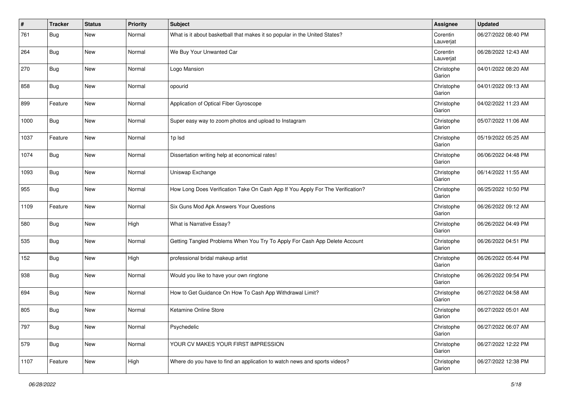| #    | <b>Tracker</b> | <b>Status</b> | <b>Priority</b> | <b>Subject</b>                                                                 | Assignee              | <b>Updated</b>      |
|------|----------------|---------------|-----------------|--------------------------------------------------------------------------------|-----------------------|---------------------|
| 761  | Bug            | <b>New</b>    | Normal          | What is it about basketball that makes it so popular in the United States?     | Corentin<br>Lauverjat | 06/27/2022 08:40 PM |
| 264  | Bug            | <b>New</b>    | Normal          | We Buy Your Unwanted Car                                                       | Corentin<br>Lauverjat | 06/28/2022 12:43 AM |
| 270  | <b>Bug</b>     | New           | Normal          | Logo Mansion                                                                   | Christophe<br>Garion  | 04/01/2022 08:20 AM |
| 858  | Bug            | <b>New</b>    | Normal          | opourid                                                                        | Christophe<br>Garion  | 04/01/2022 09:13 AM |
| 899  | Feature        | New           | Normal          | Application of Optical Fiber Gyroscope                                         | Christophe<br>Garion  | 04/02/2022 11:23 AM |
| 1000 | <b>Bug</b>     | New           | Normal          | Super easy way to zoom photos and upload to Instagram                          | Christophe<br>Garion  | 05/07/2022 11:06 AM |
| 1037 | Feature        | New           | Normal          | 1p lsd                                                                         | Christophe<br>Garion  | 05/19/2022 05:25 AM |
| 1074 | Bug            | <b>New</b>    | Normal          | Dissertation writing help at economical rates!                                 | Christophe<br>Garion  | 06/06/2022 04:48 PM |
| 1093 | <b>Bug</b>     | <b>New</b>    | Normal          | Uniswap Exchange                                                               | Christophe<br>Garion  | 06/14/2022 11:55 AM |
| 955  | <b>Bug</b>     | New           | Normal          | How Long Does Verification Take On Cash App If You Apply For The Verification? | Christophe<br>Garion  | 06/25/2022 10:50 PM |
| 1109 | Feature        | New           | Normal          | Six Guns Mod Apk Answers Your Questions                                        | Christophe<br>Garion  | 06/26/2022 09:12 AM |
| 580  | Bug            | New           | High            | What is Narrative Essay?                                                       | Christophe<br>Garion  | 06/26/2022 04:49 PM |
| 535  | Bug            | New           | Normal          | Getting Tangled Problems When You Try To Apply For Cash App Delete Account     | Christophe<br>Garion  | 06/26/2022 04:51 PM |
| 152  | Bug            | New           | High            | professional bridal makeup artist                                              | Christophe<br>Garion  | 06/26/2022 05:44 PM |
| 938  | Bug            | <b>New</b>    | Normal          | Would you like to have your own ringtone                                       | Christophe<br>Garion  | 06/26/2022 09:54 PM |
| 694  | <b>Bug</b>     | <b>New</b>    | Normal          | How to Get Guidance On How To Cash App Withdrawal Limit?                       | Christophe<br>Garion  | 06/27/2022 04:58 AM |
| 805  | Bug            | New           | Normal          | Ketamine Online Store                                                          | Christophe<br>Garion  | 06/27/2022 05:01 AM |
| 797  | <b>Bug</b>     | New           | Normal          | Psychedelic                                                                    | Christophe<br>Garion  | 06/27/2022 06:07 AM |
| 579  | <b>Bug</b>     | New           | Normal          | YOUR CV MAKES YOUR FIRST IMPRESSION                                            | Christophe<br>Garion  | 06/27/2022 12:22 PM |
| 1107 | Feature        | New           | High            | Where do you have to find an application to watch news and sports videos?      | Christophe<br>Garion  | 06/27/2022 12:38 PM |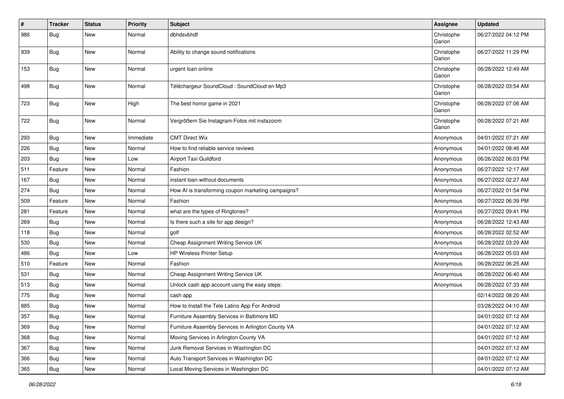| #   | <b>Tracker</b> | <b>Status</b> | <b>Priority</b> | <b>Subject</b>                                     | Assignee             | <b>Updated</b>      |
|-----|----------------|---------------|-----------------|----------------------------------------------------|----------------------|---------------------|
| 986 | Bug            | <b>New</b>    | Normal          | dbhdsvbhdf                                         | Christophe<br>Garion | 06/27/2022 04:12 PM |
| 939 | Bug            | <b>New</b>    | Normal          | Ability to change sound notifications              | Christophe<br>Garion | 06/27/2022 11:29 PM |
| 153 | Bug            | <b>New</b>    | Normal          | urgent loan online                                 | Christophe<br>Garion | 06/28/2022 12:49 AM |
| 498 | Bug            | <b>New</b>    | Normal          | Téléchargeur SoundCloud : SoundCloud en Mp3        | Christophe<br>Garion | 06/28/2022 03:54 AM |
| 723 | Bug            | <b>New</b>    | High            | The best horror game in 2021                       | Christophe<br>Garion | 06/28/2022 07:06 AM |
| 722 | Bug            | New           | Normal          | Vergrößern Sie Instagram-Fotos mit instazoom       | Christophe<br>Garion | 06/28/2022 07:21 AM |
| 293 | Bug            | <b>New</b>    | Immediate       | <b>CMT Direct Wix</b>                              | Anonymous            | 04/01/2022 07:21 AM |
| 226 | Bug            | <b>New</b>    | Normal          | How to find reliable service reviews               | Anonymous            | 04/01/2022 08:46 AM |
| 203 | Bug            | <b>New</b>    | Low             | Airport Taxi Guildford                             | Anonymous            | 06/26/2022 06:03 PM |
| 511 | Feature        | <b>New</b>    | Normal          | Fashion                                            | Anonymous            | 06/27/2022 12:17 AM |
| 167 | Bug            | <b>New</b>    | Normal          | instant loan without documents                     | Anonymous            | 06/27/2022 02:27 AM |
| 274 | Bug            | <b>New</b>    | Normal          | How AI is transforming coupon marketing campaigns? | Anonymous            | 06/27/2022 01:54 PM |
| 509 | Feature        | New           | Normal          | Fashion                                            | Anonymous            | 06/27/2022 06:39 PM |
| 281 | Feature        | <b>New</b>    | Normal          | what are the types of Ringtones?                   | Anonymous            | 06/27/2022 09:41 PM |
| 269 | Bug            | <b>New</b>    | Normal          | Is there such a site for app design?               | Anonymous            | 06/28/2022 12:43 AM |
| 118 | <b>Bug</b>     | New           | Normal          | golf                                               | Anonymous            | 06/28/2022 02:52 AM |
| 530 | Bug            | <b>New</b>    | Normal          | Cheap Assignment Writing Service UK                | Anonymous            | 06/28/2022 03:29 AM |
| 486 | Bug            | New           | Low             | <b>HP Wireless Printer Setup</b>                   | Anonymous            | 06/28/2022 05:03 AM |
| 510 | Feature        | <b>New</b>    | Normal          | Fashion                                            | Anonymous            | 06/28/2022 06:25 AM |
| 531 | Bug            | New           | Normal          | Cheap Assignment Writing Service UK                | Anonymous            | 06/28/2022 06:40 AM |
| 513 | Bug            | <b>New</b>    | Normal          | Unlock cash app account using the easy steps:      | Anonymous            | 06/28/2022 07:33 AM |
| 775 | Bug            | <b>New</b>    | Normal          | cash app                                           |                      | 02/14/2022 08:20 AM |
| 885 | Bug            | <b>New</b>    | Normal          | How to Install the Tele Latino App For Android     |                      | 03/28/2022 04:10 AM |
| 357 | Bug            | <b>New</b>    | Normal          | Furniture Assembly Services in Baltimore MD        |                      | 04/01/2022 07:12 AM |
| 369 | <b>Bug</b>     | New           | Normal          | Furniture Assembly Services in Arlington County VA |                      | 04/01/2022 07:12 AM |
| 368 | <b>Bug</b>     | New           | Normal          | Moving Services in Arlington County VA             |                      | 04/01/2022 07:12 AM |
| 367 | <b>Bug</b>     | New           | Normal          | Junk Removal Services in Washington DC             |                      | 04/01/2022 07:12 AM |
| 366 | Bug            | New           | Normal          | Auto Transport Services in Washington DC           |                      | 04/01/2022 07:12 AM |
| 365 | Bug            | New           | Normal          | Local Moving Services in Washington DC             |                      | 04/01/2022 07:12 AM |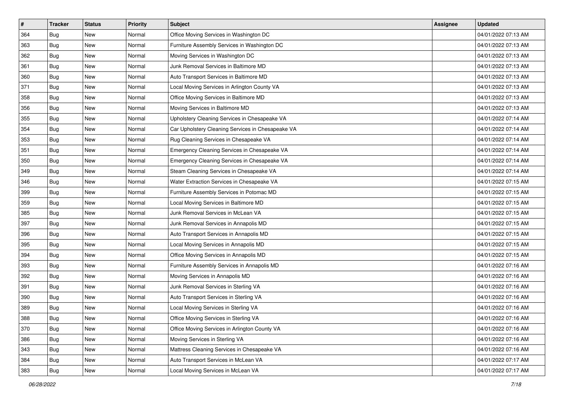| $\#$ | <b>Tracker</b> | <b>Status</b> | <b>Priority</b> | Subject                                           | <b>Assignee</b> | <b>Updated</b>      |
|------|----------------|---------------|-----------------|---------------------------------------------------|-----------------|---------------------|
| 364  | Bug            | New           | Normal          | Office Moving Services in Washington DC           |                 | 04/01/2022 07:13 AM |
| 363  | Bug            | <b>New</b>    | Normal          | Furniture Assembly Services in Washington DC      |                 | 04/01/2022 07:13 AM |
| 362  | Bug            | New           | Normal          | Moving Services in Washington DC                  |                 | 04/01/2022 07:13 AM |
| 361  | Bug            | New           | Normal          | Junk Removal Services in Baltimore MD             |                 | 04/01/2022 07:13 AM |
| 360  | Bug            | <b>New</b>    | Normal          | Auto Transport Services in Baltimore MD           |                 | 04/01/2022 07:13 AM |
| 371  | Bug            | New           | Normal          | Local Moving Services in Arlington County VA      |                 | 04/01/2022 07:13 AM |
| 358  | Bug            | <b>New</b>    | Normal          | Office Moving Services in Baltimore MD            |                 | 04/01/2022 07:13 AM |
| 356  | Bug            | New           | Normal          | Moving Services in Baltimore MD                   |                 | 04/01/2022 07:13 AM |
| 355  | Bug            | <b>New</b>    | Normal          | Upholstery Cleaning Services in Chesapeake VA     |                 | 04/01/2022 07:14 AM |
| 354  | Bug            | <b>New</b>    | Normal          | Car Upholstery Cleaning Services in Chesapeake VA |                 | 04/01/2022 07:14 AM |
| 353  | <b>Bug</b>     | New           | Normal          | Rug Cleaning Services in Chesapeake VA            |                 | 04/01/2022 07:14 AM |
| 351  | Bug            | New           | Normal          | Emergency Cleaning Services in Chesapeake VA      |                 | 04/01/2022 07:14 AM |
| 350  | Bug            | New           | Normal          | Emergency Cleaning Services in Chesapeake VA      |                 | 04/01/2022 07:14 AM |
| 349  | <b>Bug</b>     | New           | Normal          | Steam Cleaning Services in Chesapeake VA          |                 | 04/01/2022 07:14 AM |
| 346  | <b>Bug</b>     | New           | Normal          | Water Extraction Services in Chesapeake VA        |                 | 04/01/2022 07:15 AM |
| 399  | Bug            | New           | Normal          | Furniture Assembly Services in Potomac MD         |                 | 04/01/2022 07:15 AM |
| 359  | Bug            | New           | Normal          | Local Moving Services in Baltimore MD             |                 | 04/01/2022 07:15 AM |
| 385  | Bug            | <b>New</b>    | Normal          | Junk Removal Services in McLean VA                |                 | 04/01/2022 07:15 AM |
| 397  | Bug            | New           | Normal          | Junk Removal Services in Annapolis MD             |                 | 04/01/2022 07:15 AM |
| 396  | Bug            | <b>New</b>    | Normal          | Auto Transport Services in Annapolis MD           |                 | 04/01/2022 07:15 AM |
| 395  | Bug            | New           | Normal          | Local Moving Services in Annapolis MD             |                 | 04/01/2022 07:15 AM |
| 394  | Bug            | <b>New</b>    | Normal          | Office Moving Services in Annapolis MD            |                 | 04/01/2022 07:15 AM |
| 393  | Bug            | <b>New</b>    | Normal          | Furniture Assembly Services in Annapolis MD       |                 | 04/01/2022 07:16 AM |
| 392  | Bug            | New           | Normal          | Moving Services in Annapolis MD                   |                 | 04/01/2022 07:16 AM |
| 391  | Bug            | <b>New</b>    | Normal          | Junk Removal Services in Sterling VA              |                 | 04/01/2022 07:16 AM |
| 390  | Bug            | New           | Normal          | Auto Transport Services in Sterling VA            |                 | 04/01/2022 07:16 AM |
| 389  | <b>Bug</b>     | New           | Normal          | Local Moving Services in Sterling VA              |                 | 04/01/2022 07:16 AM |
| 388  | <b>Bug</b>     | New           | Normal          | Office Moving Services in Sterling VA             |                 | 04/01/2022 07:16 AM |
| 370  | Bug            | New           | Normal          | Office Moving Services in Arlington County VA     |                 | 04/01/2022 07:16 AM |
| 386  | Bug            | New           | Normal          | Moving Services in Sterling VA                    |                 | 04/01/2022 07:16 AM |
| 343  | Bug            | New           | Normal          | Mattress Cleaning Services in Chesapeake VA       |                 | 04/01/2022 07:16 AM |
| 384  | Bug            | New           | Normal          | Auto Transport Services in McLean VA              |                 | 04/01/2022 07:17 AM |
| 383  | <b>Bug</b>     | New           | Normal          | Local Moving Services in McLean VA                |                 | 04/01/2022 07:17 AM |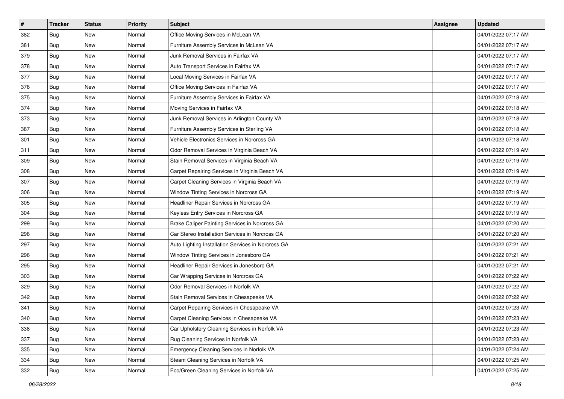| $\sharp$ | <b>Tracker</b> | <b>Status</b> | <b>Priority</b> | <b>Subject</b>                                     | <b>Assignee</b> | <b>Updated</b>      |
|----------|----------------|---------------|-----------------|----------------------------------------------------|-----------------|---------------------|
| 382      | Bug            | New           | Normal          | Office Moving Services in McLean VA                |                 | 04/01/2022 07:17 AM |
| 381      | Bug            | <b>New</b>    | Normal          | Furniture Assembly Services in McLean VA           |                 | 04/01/2022 07:17 AM |
| 379      | Bug            | <b>New</b>    | Normal          | Junk Removal Services in Fairfax VA                |                 | 04/01/2022 07:17 AM |
| 378      | Bug            | New           | Normal          | Auto Transport Services in Fairfax VA              |                 | 04/01/2022 07:17 AM |
| 377      | Bug            | New           | Normal          | Local Moving Services in Fairfax VA                |                 | 04/01/2022 07:17 AM |
| 376      | Bug            | New           | Normal          | Office Moving Services in Fairfax VA               |                 | 04/01/2022 07:17 AM |
| 375      | Bug            | <b>New</b>    | Normal          | Furniture Assembly Services in Fairfax VA          |                 | 04/01/2022 07:18 AM |
| 374      | Bug            | New           | Normal          | Moving Services in Fairfax VA                      |                 | 04/01/2022 07:18 AM |
| 373      | Bug            | <b>New</b>    | Normal          | Junk Removal Services in Arlington County VA       |                 | 04/01/2022 07:18 AM |
| 387      | Bug            | <b>New</b>    | Normal          | Furniture Assembly Services in Sterling VA         |                 | 04/01/2022 07:18 AM |
| 301      | <b>Bug</b>     | <b>New</b>    | Normal          | Vehicle Electronics Services in Norcross GA        |                 | 04/01/2022 07:18 AM |
| 311      | Bug            | New           | Normal          | Odor Removal Services in Virginia Beach VA         |                 | 04/01/2022 07:19 AM |
| 309      | Bug            | New           | Normal          | Stain Removal Services in Virginia Beach VA        |                 | 04/01/2022 07:19 AM |
| 308      | Bug            | New           | Normal          | Carpet Repairing Services in Virginia Beach VA     |                 | 04/01/2022 07:19 AM |
| 307      | <b>Bug</b>     | New           | Normal          | Carpet Cleaning Services in Virginia Beach VA      |                 | 04/01/2022 07:19 AM |
| 306      | Bug            | New           | Normal          | Window Tinting Services in Norcross GA             |                 | 04/01/2022 07:19 AM |
| 305      | Bug            | New           | Normal          | Headliner Repair Services in Norcross GA           |                 | 04/01/2022 07:19 AM |
| 304      | Bug            | <b>New</b>    | Normal          | Keyless Entry Services in Norcross GA              |                 | 04/01/2022 07:19 AM |
| 299      | Bug            | New           | Normal          | Brake Caliper Painting Services in Norcross GA     |                 | 04/01/2022 07:20 AM |
| 298      | Bug            | <b>New</b>    | Normal          | Car Stereo Installation Services in Norcross GA    |                 | 04/01/2022 07:20 AM |
| 297      | Bug            | New           | Normal          | Auto Lighting Installation Services in Norcross GA |                 | 04/01/2022 07:21 AM |
| 296      | Bug            | <b>New</b>    | Normal          | Window Tinting Services in Jonesboro GA            |                 | 04/01/2022 07:21 AM |
| 295      | Bug            | <b>New</b>    | Normal          | Headliner Repair Services in Jonesboro GA          |                 | 04/01/2022 07:21 AM |
| 303      | Bug            | New           | Normal          | Car Wrapping Services in Norcross GA               |                 | 04/01/2022 07:22 AM |
| 329      | Bug            | <b>New</b>    | Normal          | Odor Removal Services in Norfolk VA                |                 | 04/01/2022 07:22 AM |
| 342      | Bug            | New           | Normal          | Stain Removal Services in Chesapeake VA            |                 | 04/01/2022 07:22 AM |
| 341      | <b>Bug</b>     | New           | Normal          | Carpet Repairing Services in Chesapeake VA         |                 | 04/01/2022 07:23 AM |
| 340      | <b>Bug</b>     | New           | Normal          | Carpet Cleaning Services in Chesapeake VA          |                 | 04/01/2022 07:23 AM |
| 338      | Bug            | New           | Normal          | Car Upholstery Cleaning Services in Norfolk VA     |                 | 04/01/2022 07:23 AM |
| 337      | Bug            | New           | Normal          | Rug Cleaning Services in Norfolk VA                |                 | 04/01/2022 07:23 AM |
| 335      | Bug            | New           | Normal          | Emergency Cleaning Services in Norfolk VA          |                 | 04/01/2022 07:24 AM |
| 334      | Bug            | New           | Normal          | Steam Cleaning Services in Norfolk VA              |                 | 04/01/2022 07:25 AM |
| 332      | <b>Bug</b>     | New           | Normal          | Eco/Green Cleaning Services in Norfolk VA          |                 | 04/01/2022 07:25 AM |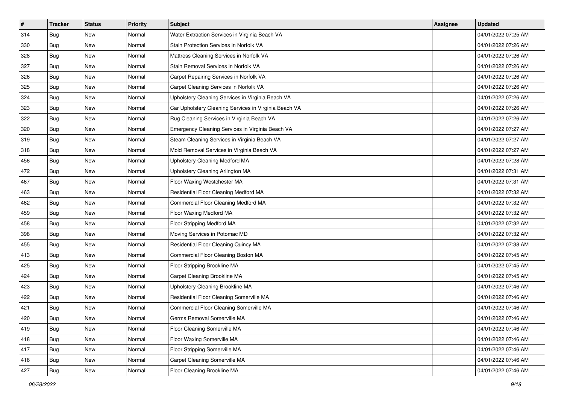| $\sharp$ | <b>Tracker</b> | <b>Status</b> | Priority | <b>Subject</b>                                        | <b>Assignee</b> | <b>Updated</b>      |
|----------|----------------|---------------|----------|-------------------------------------------------------|-----------------|---------------------|
| 314      | Bug            | New           | Normal   | Water Extraction Services in Virginia Beach VA        |                 | 04/01/2022 07:25 AM |
| 330      | Bug            | <b>New</b>    | Normal   | Stain Protection Services in Norfolk VA               |                 | 04/01/2022 07:26 AM |
| 328      | Bug            | New           | Normal   | Mattress Cleaning Services in Norfolk VA              |                 | 04/01/2022 07:26 AM |
| 327      | Bug            | <b>New</b>    | Normal   | Stain Removal Services in Norfolk VA                  |                 | 04/01/2022 07:26 AM |
| 326      | Bug            | <b>New</b>    | Normal   | Carpet Repairing Services in Norfolk VA               |                 | 04/01/2022 07:26 AM |
| 325      | Bug            | New           | Normal   | Carpet Cleaning Services in Norfolk VA                |                 | 04/01/2022 07:26 AM |
| 324      | Bug            | New           | Normal   | Upholstery Cleaning Services in Virginia Beach VA     |                 | 04/01/2022 07:26 AM |
| 323      | Bug            | New           | Normal   | Car Upholstery Cleaning Services in Virginia Beach VA |                 | 04/01/2022 07:26 AM |
| 322      | Bug            | New           | Normal   | Rug Cleaning Services in Virginia Beach VA            |                 | 04/01/2022 07:26 AM |
| 320      | Bug            | <b>New</b>    | Normal   | Emergency Cleaning Services in Virginia Beach VA      |                 | 04/01/2022 07:27 AM |
| 319      | Bug            | New           | Normal   | Steam Cleaning Services in Virginia Beach VA          |                 | 04/01/2022 07:27 AM |
| 318      | Bug            | New           | Normal   | Mold Removal Services in Virginia Beach VA            |                 | 04/01/2022 07:27 AM |
| 456      | Bug            | <b>New</b>    | Normal   | Upholstery Cleaning Medford MA                        |                 | 04/01/2022 07:28 AM |
| 472      | Bug            | New           | Normal   | Upholstery Cleaning Arlington MA                      |                 | 04/01/2022 07:31 AM |
| 467      | Bug            | <b>New</b>    | Normal   | Floor Waxing Westchester MA                           |                 | 04/01/2022 07:31 AM |
| 463      | Bug            | New           | Normal   | Residential Floor Cleaning Medford MA                 |                 | 04/01/2022 07:32 AM |
| 462      | Bug            | <b>New</b>    | Normal   | Commercial Floor Cleaning Medford MA                  |                 | 04/01/2022 07:32 AM |
| 459      | Bug            | <b>New</b>    | Normal   | Floor Waxing Medford MA                               |                 | 04/01/2022 07:32 AM |
| 458      | Bug            | New           | Normal   | Floor Stripping Medford MA                            |                 | 04/01/2022 07:32 AM |
| 398      | Bug            | <b>New</b>    | Normal   | Moving Services in Potomac MD                         |                 | 04/01/2022 07:32 AM |
| 455      | Bug            | New           | Normal   | Residential Floor Cleaning Quincy MA                  |                 | 04/01/2022 07:38 AM |
| 413      | Bug            | <b>New</b>    | Normal   | Commercial Floor Cleaning Boston MA                   |                 | 04/01/2022 07:45 AM |
| 425      | Bug            | <b>New</b>    | Normal   | Floor Stripping Brookline MA                          |                 | 04/01/2022 07:45 AM |
| 424      | <b>Bug</b>     | New           | Normal   | Carpet Cleaning Brookline MA                          |                 | 04/01/2022 07:45 AM |
| 423      | Bug            | New           | Normal   | Upholstery Cleaning Brookline MA                      |                 | 04/01/2022 07:46 AM |
| 422      | Bug            | <b>New</b>    | Normal   | Residential Floor Cleaning Somerville MA              |                 | 04/01/2022 07:46 AM |
| 421      | <b>Bug</b>     | New           | Normal   | Commercial Floor Cleaning Somerville MA               |                 | 04/01/2022 07:46 AM |
| 420      | <b>Bug</b>     | New           | Normal   | Germs Removal Somerville MA                           |                 | 04/01/2022 07:46 AM |
| 419      | Bug            | New           | Normal   | Floor Cleaning Somerville MA                          |                 | 04/01/2022 07:46 AM |
| 418      | Bug            | New           | Normal   | Floor Waxing Somerville MA                            |                 | 04/01/2022 07:46 AM |
| 417      | Bug            | New           | Normal   | Floor Stripping Somerville MA                         |                 | 04/01/2022 07:46 AM |
| 416      | Bug            | New           | Normal   | Carpet Cleaning Somerville MA                         |                 | 04/01/2022 07:46 AM |
| 427      | <b>Bug</b>     | New           | Normal   | Floor Cleaning Brookline MA                           |                 | 04/01/2022 07:46 AM |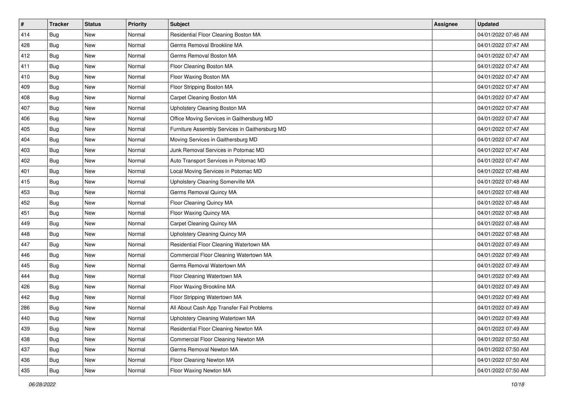| #   | <b>Tracker</b> | <b>Status</b> | <b>Priority</b> | <b>Subject</b>                                 | <b>Assignee</b> | <b>Updated</b>      |
|-----|----------------|---------------|-----------------|------------------------------------------------|-----------------|---------------------|
| 414 | Bug            | New           | Normal          | Residential Floor Cleaning Boston MA           |                 | 04/01/2022 07:46 AM |
| 428 | Bug            | New           | Normal          | Germs Removal Brookline MA                     |                 | 04/01/2022 07:47 AM |
| 412 | Bug            | New           | Normal          | Germs Removal Boston MA                        |                 | 04/01/2022 07:47 AM |
| 411 | Bug            | New           | Normal          | Floor Cleaning Boston MA                       |                 | 04/01/2022 07:47 AM |
| 410 | Bug            | <b>New</b>    | Normal          | Floor Waxing Boston MA                         |                 | 04/01/2022 07:47 AM |
| 409 | Bug            | New           | Normal          | Floor Stripping Boston MA                      |                 | 04/01/2022 07:47 AM |
| 408 | Bug            | New           | Normal          | Carpet Cleaning Boston MA                      |                 | 04/01/2022 07:47 AM |
| 407 | Bug            | New           | Normal          | Upholstery Cleaning Boston MA                  |                 | 04/01/2022 07:47 AM |
| 406 | Bug            | New           | Normal          | Office Moving Services in Gaithersburg MD      |                 | 04/01/2022 07:47 AM |
| 405 | Bug            | New           | Normal          | Furniture Assembly Services in Gaithersburg MD |                 | 04/01/2022 07:47 AM |
| 404 | Bug            | New           | Normal          | Moving Services in Gaithersburg MD             |                 | 04/01/2022 07:47 AM |
| 403 | Bug            | New           | Normal          | Junk Removal Services in Potomac MD            |                 | 04/01/2022 07:47 AM |
| 402 | Bug            | New           | Normal          | Auto Transport Services in Potomac MD          |                 | 04/01/2022 07:47 AM |
| 401 | Bug            | New           | Normal          | Local Moving Services in Potomac MD            |                 | 04/01/2022 07:48 AM |
| 415 | Bug            | New           | Normal          | Upholstery Cleaning Somerville MA              |                 | 04/01/2022 07:48 AM |
| 453 | Bug            | New           | Normal          | Germs Removal Quincy MA                        |                 | 04/01/2022 07:48 AM |
| 452 | Bug            | New           | Normal          | Floor Cleaning Quincy MA                       |                 | 04/01/2022 07:48 AM |
| 451 | Bug            | New           | Normal          | Floor Waxing Quincy MA                         |                 | 04/01/2022 07:48 AM |
| 449 | Bug            | New           | Normal          | Carpet Cleaning Quincy MA                      |                 | 04/01/2022 07:48 AM |
| 448 | Bug            | New           | Normal          | <b>Upholstery Cleaning Quincy MA</b>           |                 | 04/01/2022 07:48 AM |
| 447 | Bug            | New           | Normal          | Residential Floor Cleaning Watertown MA        |                 | 04/01/2022 07:49 AM |
| 446 | Bug            | New           | Normal          | Commercial Floor Cleaning Watertown MA         |                 | 04/01/2022 07:49 AM |
| 445 | Bug            | New           | Normal          | Germs Removal Watertown MA                     |                 | 04/01/2022 07:49 AM |
| 444 | Bug            | New           | Normal          | Floor Cleaning Watertown MA                    |                 | 04/01/2022 07:49 AM |
| 426 | Bug            | New           | Normal          | Floor Waxing Brookline MA                      |                 | 04/01/2022 07:49 AM |
| 442 | Bug            | New           | Normal          | Floor Stripping Watertown MA                   |                 | 04/01/2022 07:49 AM |
| 286 | Bug            | New           | Normal          | All About Cash App Transfer Fail Problems      |                 | 04/01/2022 07:49 AM |
| 440 | <b>Bug</b>     | New           | Normal          | Upholstery Cleaning Watertown MA               |                 | 04/01/2022 07:49 AM |
| 439 | Bug            | New           | Normal          | Residential Floor Cleaning Newton MA           |                 | 04/01/2022 07:49 AM |
| 438 | Bug            | New           | Normal          | Commercial Floor Cleaning Newton MA            |                 | 04/01/2022 07:50 AM |
| 437 | Bug            | New           | Normal          | Germs Removal Newton MA                        |                 | 04/01/2022 07:50 AM |
| 436 | <b>Bug</b>     | New           | Normal          | Floor Cleaning Newton MA                       |                 | 04/01/2022 07:50 AM |
| 435 | <b>Bug</b>     | New           | Normal          | Floor Waxing Newton MA                         |                 | 04/01/2022 07:50 AM |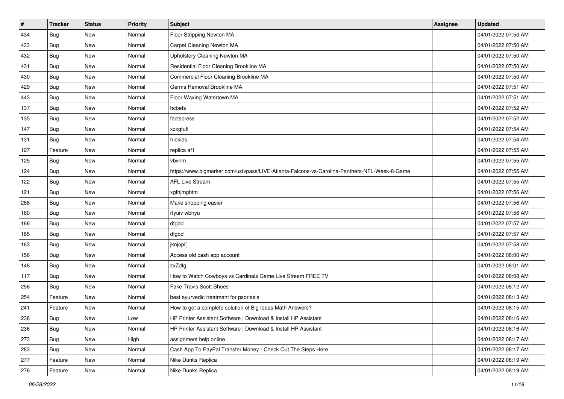| #   | <b>Tracker</b> | <b>Status</b> | Priority | <b>Subject</b>                                                                               | <b>Assignee</b> | <b>Updated</b>      |
|-----|----------------|---------------|----------|----------------------------------------------------------------------------------------------|-----------------|---------------------|
| 434 | Bug            | New           | Normal   | Floor Stripping Newton MA                                                                    |                 | 04/01/2022 07:50 AM |
| 433 | Bug            | <b>New</b>    | Normal   | Carpet Cleaning Newton MA                                                                    |                 | 04/01/2022 07:50 AM |
| 432 | Bug            | New           | Normal   | Upholstery Cleaning Newton MA                                                                |                 | 04/01/2022 07:50 AM |
| 431 | Bug            | <b>New</b>    | Normal   | Residential Floor Cleaning Brookline MA                                                      |                 | 04/01/2022 07:50 AM |
| 430 | Bug            | <b>New</b>    | Normal   | Commercial Floor Cleaning Brookline MA                                                       |                 | 04/01/2022 07:50 AM |
| 429 | Bug            | New           | Normal   | Germs Removal Brookline MA                                                                   |                 | 04/01/2022 07:51 AM |
| 443 | Bug            | New           | Normal   | Floor Waxing Watertown MA                                                                    |                 | 04/01/2022 07:51 AM |
| 137 | Bug            | New           | Normal   | hcbets                                                                                       |                 | 04/01/2022 07:52 AM |
| 135 | Bug            | <b>New</b>    | Normal   | factspress                                                                                   |                 | 04/01/2022 07:52 AM |
| 147 | Bug            | <b>New</b>    | Normal   | xzxgfufi                                                                                     |                 | 04/01/2022 07:54 AM |
| 131 | Bug            | New           | Normal   | triokids                                                                                     |                 | 04/01/2022 07:54 AM |
| 127 | Feature        | New           | Normal   | replica af1                                                                                  |                 | 04/01/2022 07:55 AM |
| 125 | <b>Bug</b>     | New           | Normal   | vbvnm                                                                                        |                 | 04/01/2022 07:55 AM |
| 124 | Bug            | New           | Normal   | https://www.bigmarker.com/ustvpass/LIVE-Atlanta-Falcons-vs-Carolina-Panthers-NFL-Week-8-Game |                 | 04/01/2022 07:55 AM |
| 122 | Bug            | New           | Normal   | <b>AFL Live Stream</b>                                                                       |                 | 04/01/2022 07:55 AM |
| 121 | Bug            | New           | Normal   | xgfhjmghtm                                                                                   |                 | 04/01/2022 07:56 AM |
| 288 | Bug            | <b>New</b>    | Normal   | Make shopping easier                                                                         |                 | 04/01/2022 07:56 AM |
| 160 | Bug            | New           | Normal   | rtyuiv wbhyu                                                                                 |                 | 04/01/2022 07:56 AM |
| 166 | Bug            | New           | Normal   | dfgbd                                                                                        |                 | 04/01/2022 07:57 AM |
| 165 | <b>Bug</b>     | <b>New</b>    | Normal   | dfgbd                                                                                        |                 | 04/01/2022 07:57 AM |
| 163 | Bug            | New           | Normal   | jknjopl[                                                                                     |                 | 04/01/2022 07:58 AM |
| 156 | Bug            | <b>New</b>    | Normal   | Access old cash app account                                                                  |                 | 04/01/2022 08:00 AM |
| 148 | <b>Bug</b>     | <b>New</b>    | Normal   | zxZdfg                                                                                       |                 | 04/01/2022 08:01 AM |
| 117 | Bug            | New           | Normal   | How to Watch Cowboys vs Cardinals Game Live Stream FREE TV                                   |                 | 04/01/2022 08:08 AM |
| 256 | Bug            | New           | Normal   | <b>Fake Travis Scott Shoes</b>                                                               |                 | 04/01/2022 08:12 AM |
| 254 | Feature        | New           | Normal   | best ayurvedic treatment for psoriasis                                                       |                 | 04/01/2022 08:13 AM |
| 241 | Feature        | New           | Normal   | How to get a complete solution of Big Ideas Math Answers?                                    |                 | 04/01/2022 08:15 AM |
| 238 | <b>Bug</b>     | New           | Low      | HP Printer Assistant Software   Download & Install HP Assistant                              |                 | 04/01/2022 08:16 AM |
| 236 | Bug            | New           | Normal   | HP Printer Assistant Software   Download & Install HP Assistant                              |                 | 04/01/2022 08:16 AM |
| 273 | <b>Bug</b>     | New           | High     | assignment help online                                                                       |                 | 04/01/2022 08:17 AM |
| 283 | Bug            | New           | Normal   | Cash App To PayPal Transfer Money - Check Out The Steps Here                                 |                 | 04/01/2022 08:17 AM |
| 277 | Feature        | New           | Normal   | Nike Dunks Replica                                                                           |                 | 04/01/2022 08:19 AM |
| 276 | Feature        | New           | Normal   | Nike Dunks Replica                                                                           |                 | 04/01/2022 08:19 AM |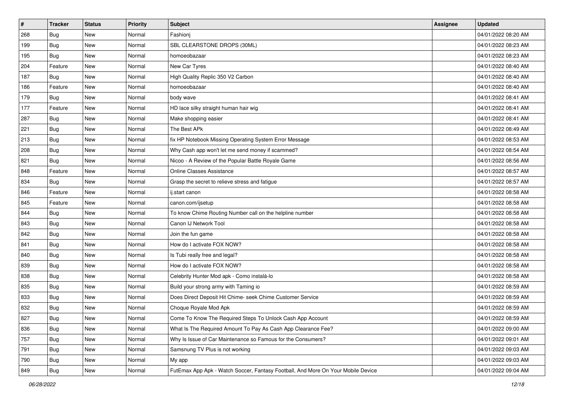| $\sharp$ | <b>Tracker</b> | <b>Status</b> | <b>Priority</b> | <b>Subject</b>                                                                   | <b>Assignee</b> | <b>Updated</b>      |
|----------|----------------|---------------|-----------------|----------------------------------------------------------------------------------|-----------------|---------------------|
| 268      | Bug            | New           | Normal          | Fashioni                                                                         |                 | 04/01/2022 08:20 AM |
| 199      | Bug            | New           | Normal          | SBL CLEARSTONE DROPS (30ML)                                                      |                 | 04/01/2022 08:23 AM |
| 195      | Bug            | New           | Normal          | homoeobazaar                                                                     |                 | 04/01/2022 08:23 AM |
| 204      | Feature        | New           | Normal          | New Car Tyres                                                                    |                 | 04/01/2022 08:40 AM |
| 187      | <b>Bug</b>     | New           | Normal          | High Quality Replic 350 V2 Carbon                                                |                 | 04/01/2022 08:40 AM |
| 186      | Feature        | New           | Normal          | homoeobazaar                                                                     |                 | 04/01/2022 08:40 AM |
| 179      | Bug            | New           | Normal          | body wave                                                                        |                 | 04/01/2022 08:41 AM |
| 177      | Feature        | New           | Normal          | HD lace silky straight human hair wig                                            |                 | 04/01/2022 08:41 AM |
| 287      | Bug            | New           | Normal          | Make shopping easier                                                             |                 | 04/01/2022 08:41 AM |
| 221      | Bug            | New           | Normal          | The Best APk                                                                     |                 | 04/01/2022 08:49 AM |
| 213      | Bug            | New           | Normal          | fix HP Notebook Missing Operating System Error Message                           |                 | 04/01/2022 08:53 AM |
| 208      | Bug            | New           | Normal          | Why Cash app won't let me send money if scammed?                                 |                 | 04/01/2022 08:54 AM |
| 821      | Bug            | New           | Normal          | Nicoo - A Review of the Popular Battle Royale Game                               |                 | 04/01/2022 08:56 AM |
| 848      | Feature        | New           | Normal          | <b>Online Classes Assistance</b>                                                 |                 | 04/01/2022 08:57 AM |
| 834      | Bug            | New           | Normal          | Grasp the secret to relieve stress and fatigue                                   |                 | 04/01/2022 08:57 AM |
| 846      | Feature        | New           | Normal          | ij.start canon                                                                   |                 | 04/01/2022 08:58 AM |
| 845      | Feature        | New           | Normal          | canon.com/ijsetup                                                                |                 | 04/01/2022 08:58 AM |
| 844      | Bug            | New           | Normal          | To know Chime Routing Number call on the helpline number                         |                 | 04/01/2022 08:58 AM |
| 843      | Bug            | New           | Normal          | Canon IJ Network Tool                                                            |                 | 04/01/2022 08:58 AM |
| 842      | Bug            | New           | Normal          | Join the fun game                                                                |                 | 04/01/2022 08:58 AM |
| 841      | <b>Bug</b>     | New           | Normal          | How do I activate FOX NOW?                                                       |                 | 04/01/2022 08:58 AM |
| 840      | Bug            | <b>New</b>    | Normal          | Is Tubi really free and legal?                                                   |                 | 04/01/2022 08:58 AM |
| 839      | Bug            | <b>New</b>    | Normal          | How do I activate FOX NOW?                                                       |                 | 04/01/2022 08:58 AM |
| 838      | Bug            | New           | Normal          | Celebrity Hunter Mod apk - Como instalá-lo                                       |                 | 04/01/2022 08:58 AM |
| 835      | Bug            | New           | Normal          | Build your strong army with Taming io                                            |                 | 04/01/2022 08:59 AM |
| 833      | Bug            | New           | Normal          | Does Direct Deposit Hit Chime- seek Chime Customer Service                       |                 | 04/01/2022 08:59 AM |
| 832      | <b>Bug</b>     | New           | Normal          | Choque Royale Mod Apk                                                            |                 | 04/01/2022 08:59 AM |
| 827      | <b>Bug</b>     | New           | Normal          | Come To Know The Required Steps To Unlock Cash App Account                       |                 | 04/01/2022 08:59 AM |
| 836      | Bug            | New           | Normal          | What Is The Required Amount To Pay As Cash App Clearance Fee?                    |                 | 04/01/2022 09:00 AM |
| 757      | Bug            | New           | Normal          | Why Is Issue of Car Maintenance so Famous for the Consumers?                     |                 | 04/01/2022 09:01 AM |
| 791      | Bug            | New           | Normal          | Samsnung TV Plus is not working                                                  |                 | 04/01/2022 09:03 AM |
| 790      | <b>Bug</b>     | New           | Normal          | My app                                                                           |                 | 04/01/2022 09:03 AM |
| 849      | Bug            | New           | Normal          | FutEmax App Apk - Watch Soccer, Fantasy Football, And More On Your Mobile Device |                 | 04/01/2022 09:04 AM |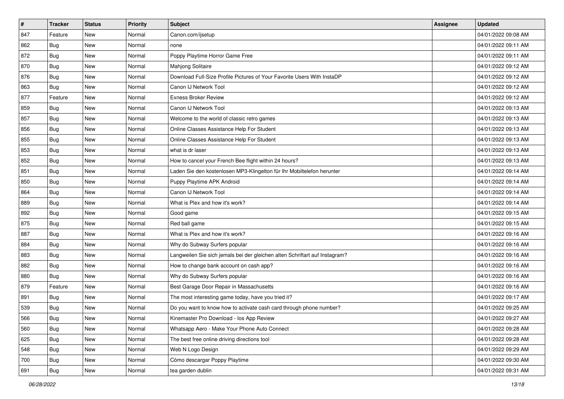| #   | <b>Tracker</b> | <b>Status</b> | Priority | <b>Subject</b>                                                              | <b>Assignee</b> | <b>Updated</b>      |
|-----|----------------|---------------|----------|-----------------------------------------------------------------------------|-----------------|---------------------|
| 847 | Feature        | New           | Normal   | Canon.com/ijsetup                                                           |                 | 04/01/2022 09:08 AM |
| 862 | Bug            | <b>New</b>    | Normal   | none                                                                        |                 | 04/01/2022 09:11 AM |
| 872 | <b>Bug</b>     | New           | Normal   | Poppy Playtime Horror Game Free                                             |                 | 04/01/2022 09:11 AM |
| 870 | Bug            | <b>New</b>    | Normal   | Mahjong Solitaire                                                           |                 | 04/01/2022 09:12 AM |
| 876 | <b>Bug</b>     | <b>New</b>    | Normal   | Download Full-Size Profile Pictures of Your Favorite Users With InstaDP     |                 | 04/01/2022 09:12 AM |
| 863 | <b>Bug</b>     | New           | Normal   | Canon IJ Network Tool                                                       |                 | 04/01/2022 09:12 AM |
| 877 | Feature        | <b>New</b>    | Normal   | <b>Exness Broker Review</b>                                                 |                 | 04/01/2022 09:12 AM |
| 859 | Bug            | New           | Normal   | Canon IJ Network Tool                                                       |                 | 04/01/2022 09:13 AM |
| 857 | Bug            | <b>New</b>    | Normal   | Welcome to the world of classic retro games                                 |                 | 04/01/2022 09:13 AM |
| 856 | <b>Bug</b>     | <b>New</b>    | Normal   | Online Classes Assistance Help For Student                                  |                 | 04/01/2022 09:13 AM |
| 855 | Bug            | New           | Normal   | Online Classes Assistance Help For Student                                  |                 | 04/01/2022 09:13 AM |
| 853 | Bug            | <b>New</b>    | Normal   | what is dr laser                                                            |                 | 04/01/2022 09:13 AM |
| 852 | Bug            | <b>New</b>    | Normal   | How to cancel your French Bee flight within 24 hours?                       |                 | 04/01/2022 09:13 AM |
| 851 | Bug            | New           | Normal   | Laden Sie den kostenlosen MP3-Klingelton für Ihr Mobiltelefon herunter      |                 | 04/01/2022 09:14 AM |
| 850 | Bug            | <b>New</b>    | Normal   | Puppy Playtime APK Android                                                  |                 | 04/01/2022 09:14 AM |
| 864 | Bug            | New           | Normal   | Canon IJ Network Tool                                                       |                 | 04/01/2022 09:14 AM |
| 889 | Bug            | <b>New</b>    | Normal   | What is Plex and how it's work?                                             |                 | 04/01/2022 09:14 AM |
| 892 | Bug            | <b>New</b>    | Normal   | Good game                                                                   |                 | 04/01/2022 09:15 AM |
| 875 | Bug            | New           | Normal   | Red ball game                                                               |                 | 04/01/2022 09:15 AM |
| 887 | Bug            | <b>New</b>    | Normal   | What is Plex and how it's work?                                             |                 | 04/01/2022 09:16 AM |
| 884 | Bug            | New           | Normal   | Why do Subway Surfers popular                                               |                 | 04/01/2022 09:16 AM |
| 883 | Bug            | New           | Normal   | Langweilen Sie sich jemals bei der gleichen alten Schriftart auf Instagram? |                 | 04/01/2022 09:16 AM |
| 882 | Bug            | <b>New</b>    | Normal   | How to change bank account on cash app?                                     |                 | 04/01/2022 09:16 AM |
| 880 | Bug            | New           | Normal   | Why do Subway Surfers popular                                               |                 | 04/01/2022 09:16 AM |
| 879 | Feature        | New           | Normal   | Best Garage Door Repair in Massachusetts                                    |                 | 04/01/2022 09:16 AM |
| 891 | Bug            | <b>New</b>    | Normal   | The most interesting game today, have you tried it?                         |                 | 04/01/2022 09:17 AM |
| 539 | Bug            | New           | Normal   | Do you want to know how to activate cash card through phone number?         |                 | 04/01/2022 09:25 AM |
| 566 | Bug            | New           | Normal   | Kinemaster Pro Download - los App Review                                    |                 | 04/01/2022 09:27 AM |
| 560 | Bug            | New           | Normal   | Whatsapp Aero - Make Your Phone Auto Connect                                |                 | 04/01/2022 09:28 AM |
| 625 | Bug            | New           | Normal   | The best free online driving directions tool                                |                 | 04/01/2022 09:28 AM |
| 548 | Bug            | New           | Normal   | Web N Logo Design                                                           |                 | 04/01/2022 09:29 AM |
| 700 | <b>Bug</b>     | New           | Normal   | Cómo descargar Poppy Playtime                                               |                 | 04/01/2022 09:30 AM |
| 691 | <b>Bug</b>     | New           | Normal   | tea garden dublin                                                           |                 | 04/01/2022 09:31 AM |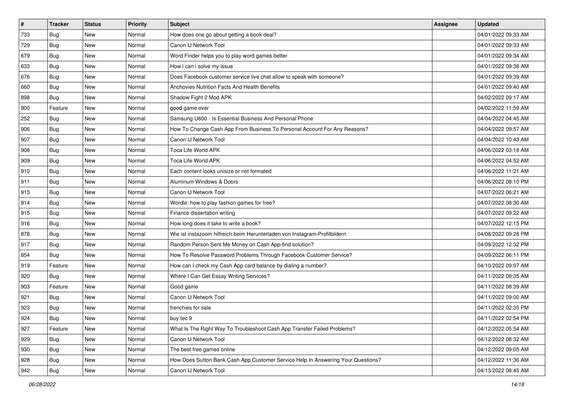| $\vert$ # | <b>Tracker</b> | <b>Status</b> | <b>Priority</b> | Subject                                                                          | Assignee | <b>Updated</b>      |
|-----------|----------------|---------------|-----------------|----------------------------------------------------------------------------------|----------|---------------------|
| 733       | Bug            | New           | Normal          | How does one go about getting a book deal?                                       |          | 04/01/2022 09:33 AM |
| 729       | Bug            | <b>New</b>    | Normal          | Canon IJ Network Tool                                                            |          | 04/01/2022 09:33 AM |
| 679       | Bug            | New           | Normal          | Word Finder helps you to play word games better                                  |          | 04/01/2022 09:34 AM |
| 633       | Bug            | <b>New</b>    | Normal          | How i can i solve my issue                                                       |          | 04/01/2022 09:38 AM |
| 676       | Bug            | <b>New</b>    | Normal          | Does Facebook customer service live chat allow to speak with someone?            |          | 04/01/2022 09:39 AM |
| 660       | Bug            | New           | Normal          | Anchovies Nutrition Facts And Health Benefits                                    |          | 04/01/2022 09:40 AM |
| 898       | Bug            | <b>New</b>    | Normal          | Shadow Fight 2 Mod APK                                                           |          | 04/02/2022 09:17 AM |
| 900       | Feature        | New           | Normal          | good game ever                                                                   |          | 04/02/2022 11:59 AM |
| 252       | Bug            | <b>New</b>    | Normal          | Samsung U600 - Is Essential Business And Personal Phone                          |          | 04/04/2022 04:45 AM |
| 906       | Bug            | <b>New</b>    | Normal          | How To Change Cash App From Business To Personal Account For Any Reasons?        |          | 04/04/2022 09:57 AM |
| 907       | Bug            | <b>New</b>    | Normal          | Canon IJ Network Tool                                                            |          | 04/04/2022 10:43 AM |
| 908       | Bug            | <b>New</b>    | Normal          | Toca Life World APK                                                              |          | 04/06/2022 03:18 AM |
| 909       | Bug            | New           | Normal          | Toca Life World APK                                                              |          | 04/06/2022 04:52 AM |
| 910       | Bug            | <b>New</b>    | Normal          | Each content looks unisize or not formated                                       |          | 04/06/2022 11:21 AM |
| 911       | Bug            | <b>New</b>    | Normal          | Aluminum Windows & Doors                                                         |          | 04/06/2022 08:10 PM |
| 913       | Bug            | New           | Normal          | Canon IJ Network Tool                                                            |          | 04/07/2022 06:21 AM |
| 914       | Bug            | <b>New</b>    | Normal          | Wordle: how to play fashion games for free?                                      |          | 04/07/2022 08:30 AM |
| 915       | Bug            | <b>New</b>    | Normal          | Finance dissertation writing                                                     |          | 04/07/2022 09:22 AM |
| 916       | Bug            | New           | Normal          | How long does it take to write a book?                                           |          | 04/07/2022 12:15 PM |
| 878       | Bug            | <b>New</b>    | Normal          | Wie ist instazoom hilfreich beim Herunterladen von Instagram-Profilbildern       |          | 04/08/2022 09:28 PM |
| 917       | Bug            | New           | Normal          | Random Person Sent Me Money on Cash App-find solution?                           |          | 04/09/2022 12:32 PM |
| 854       | <b>Bug</b>     | <b>New</b>    | Normal          | How To Resolve Password Problems Through Facebook Customer Service?              |          | 04/09/2022 06:11 PM |
| 919       | Feature        | <b>New</b>    | Normal          | How can I check my Cash App card balance by dialing a number?                    |          | 04/10/2022 09:07 AM |
| 920       | Bug            | New           | Normal          | Where I Can Get Essay Writing Services?                                          |          | 04/11/2022 08:35 AM |
| 903       | Feature        | <b>New</b>    | Normal          | Good game                                                                        |          | 04/11/2022 08:39 AM |
| 921       | Bug            | New           | Normal          | Canon IJ Network Tool                                                            |          | 04/11/2022 09:00 AM |
| 923       | Bug            | New           | Normal          | frenchies for sale                                                               |          | 04/11/2022 02:35 PM |
| 924       | <b>Bug</b>     | New           | Normal          | buy tec 9                                                                        |          | 04/11/2022 02:54 PM |
| 927       | Feature        | New           | Normal          | What Is The Right Way To Troubleshoot Cash App Transfer Failed Problems?         |          | 04/12/2022 05:54 AM |
| 929       | Bug            | New           | Normal          | Canon IJ Network Tool                                                            |          | 04/12/2022 08:32 AM |
| 930       | Bug            | New           | Normal          | The best free games online                                                       |          | 04/12/2022 09:05 AM |
| 928       | Bug            | New           | Normal          | How Does Sutton Bank Cash App Customer Service Help In Answering Your Questions? |          | 04/12/2022 11:36 AM |
| 942       | <b>Bug</b>     | New           | Normal          | Canon IJ Network Tool                                                            |          | 04/13/2022 08:45 AM |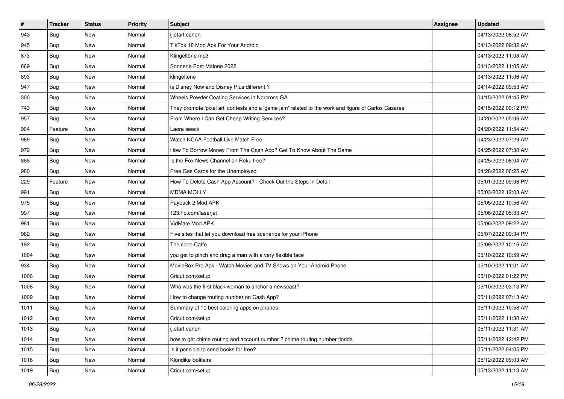| #    | <b>Tracker</b> | <b>Status</b> | <b>Priority</b> | <b>Subject</b>                                                                                      | Assignee | <b>Updated</b>      |
|------|----------------|---------------|-----------------|-----------------------------------------------------------------------------------------------------|----------|---------------------|
| 943  | Bug            | New           | Normal          | ij.start canon                                                                                      |          | 04/13/2022 08:52 AM |
| 945  | Bug            | <b>New</b>    | Normal          | TikTok 18 Mod Apk For Your Android                                                                  |          | 04/13/2022 09:32 AM |
| 873  | Bug            | New           | Normal          | Klingeltöne mp3                                                                                     |          | 04/13/2022 11:03 AM |
| 869  | Bug            | <b>New</b>    | Normal          | Sonnerie Post Malone 2022                                                                           |          | 04/13/2022 11:05 AM |
| 893  | Bug            | <b>New</b>    | Normal          | klingeltone                                                                                         |          | 04/13/2022 11:06 AM |
| 947  | Bug            | New           | Normal          | is Disney Now and Disney Plus different?                                                            |          | 04/14/2022 09:53 AM |
| 300  | Bug            | <b>New</b>    | Normal          | Wheels Powder Coating Services in Norcross GA                                                       |          | 04/15/2022 01:45 PM |
| 743  | Bug            | New           | Normal          | They promote 'pixel art' contests and a 'game jam' related to the work and figure of Carlos Casares |          | 04/15/2022 09:12 PM |
| 957  | Bug            | <b>New</b>    | Normal          | From Where I Can Get Cheap Writing Services?                                                        |          | 04/20/2022 05:06 AM |
| 904  | Feature        | <b>New</b>    | Normal          | Laora seeck                                                                                         |          | 04/20/2022 11:54 AM |
| 969  | Bug            | New           | Normal          | Watch NCAA Football Live Match Free                                                                 |          | 04/23/2022 07:29 AM |
| 972  | Bug            | New           | Normal          | How To Borrow Money From The Cash App? Get To Know About The Same                                   |          | 04/25/2022 07:30 AM |
| 888  | Bug            | New           | Normal          | Is the Fox News Channel on Roku free?                                                               |          | 04/25/2022 08:04 AM |
| 980  | Bug            | New           | Normal          | Free Gas Cards for the Unemployed                                                                   |          | 04/28/2022 06:25 AM |
| 229  | Feature        | New           | Normal          | How To Delete Cash App Account? - Check Out the Steps In Detail                                     |          | 05/01/2022 09:06 PM |
| 991  | Bug            | New           | Normal          | <b>MDMA MOLLY</b>                                                                                   |          | 05/03/2022 12:03 AM |
| 975  | Bug            | <b>New</b>    | Normal          | Payback 2 Mod APK                                                                                   |          | 05/05/2022 10:56 AM |
| 997  | Bug            | <b>New</b>    | Normal          | 123.hp.com/laserjet                                                                                 |          | 05/06/2022 05:33 AM |
| 981  | Bug            | New           | Normal          | VidMate Mod APK                                                                                     |          | 05/06/2022 09:22 AM |
| 982  | <b>Bug</b>     | <b>New</b>    | Normal          | Five sites that let you download free scenarios for your iPhone                                     |          | 05/07/2022 09:34 PM |
| 192  | Bug            | New           | Normal          | The code Caffe                                                                                      |          | 05/09/2022 10:16 AM |
| 1004 | Bug            | <b>New</b>    | Normal          | you get to pinch and drag a man with a very flexible face                                           |          | 05/10/2022 10:59 AM |
| 934  | <b>Bug</b>     | <b>New</b>    | Normal          | MovieBox Pro Apk - Watch Movies and TV Shows on Your Android Phone                                  |          | 05/10/2022 11:01 AM |
| 1006 | Bug            | New           | Normal          | Cricut.com/setup                                                                                    |          | 05/10/2022 01:22 PM |
| 1008 | Bug            | <b>New</b>    | Normal          | Who was the first black woman to anchor a newscast?                                                 |          | 05/10/2022 03:13 PM |
| 1009 | Bug            | New           | Normal          | How to change routing number on Cash App?                                                           |          | 05/11/2022 07:13 AM |
| 1011 | Bug            | New           | Normal          | Summary of 10 best coloring apps on phones                                                          |          | 05/11/2022 10:58 AM |
| 1012 | Bug            | New           | Normal          | Cricut.com/setup                                                                                    |          | 05/11/2022 11:30 AM |
| 1013 | Bug            | New           | Normal          | ij.start canon                                                                                      |          | 05/11/2022 11:31 AM |
| 1014 | Bug            | New           | Normal          | how to get chime routing and account number ? chime routing number florida                          |          | 05/11/2022 12:42 PM |
| 1015 | Bug            | New           | Normal          | Is it possible to send books for free?                                                              |          | 05/11/2022 04:05 PM |
| 1016 | Bug            | New           | Normal          | Klondike Solitaire                                                                                  |          | 05/12/2022 09:03 AM |
| 1019 | <b>Bug</b>     | New           | Normal          | Cricut.com/setup                                                                                    |          | 05/13/2022 11:13 AM |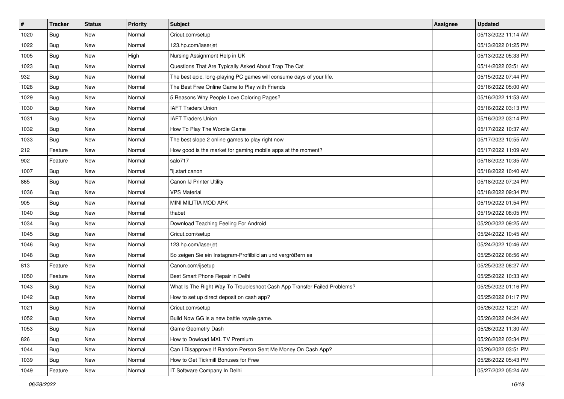| $\pmb{\#}$ | <b>Tracker</b> | <b>Status</b> | <b>Priority</b> | Subject                                                                  | Assignee | <b>Updated</b>      |
|------------|----------------|---------------|-----------------|--------------------------------------------------------------------------|----------|---------------------|
| 1020       | Bug            | New           | Normal          | Cricut.com/setup                                                         |          | 05/13/2022 11:14 AM |
| 1022       | Bug            | <b>New</b>    | Normal          | 123.hp.com/laserjet                                                      |          | 05/13/2022 01:25 PM |
| 1005       | Bug            | New           | High            | Nursing Assignment Help in UK                                            |          | 05/13/2022 05:33 PM |
| 1023       | Bug            | New           | Normal          | Questions That Are Typically Asked About Trap The Cat                    |          | 05/14/2022 03:51 AM |
| 932        | Bug            | <b>New</b>    | Normal          | The best epic, long-playing PC games will consume days of your life.     |          | 05/15/2022 07:44 PM |
| 1028       | Bug            | New           | Normal          | The Best Free Online Game to Play with Friends                           |          | 05/16/2022 05:00 AM |
| 1029       | Bug            | New           | Normal          | 5 Reasons Why People Love Coloring Pages?                                |          | 05/16/2022 11:53 AM |
| 1030       | Bug            | New           | Normal          | <b>IAFT Traders Union</b>                                                |          | 05/16/2022 03:13 PM |
| 1031       | Bug            | New           | Normal          | <b>IAFT Traders Union</b>                                                |          | 05/16/2022 03:14 PM |
| 1032       | Bug            | <b>New</b>    | Normal          | How To Play The Wordle Game                                              |          | 05/17/2022 10:37 AM |
| 1033       | Bug            | New           | Normal          | The best slope 2 online games to play right now                          |          | 05/17/2022 10:55 AM |
| 212        | Feature        | New           | Normal          | How good is the market for gaming mobile apps at the moment?             |          | 05/17/2022 11:09 AM |
| 902        | Feature        | New           | Normal          | salo717                                                                  |          | 05/18/2022 10:35 AM |
| 1007       | Bug            | New           | Normal          | "ij.start canon                                                          |          | 05/18/2022 10:40 AM |
| 865        | Bug            | <b>New</b>    | Normal          | Canon IJ Printer Utility                                                 |          | 05/18/2022 07:24 PM |
| 1036       | Bug            | New           | Normal          | <b>VPS Material</b>                                                      |          | 05/18/2022 09:34 PM |
| 905        | Bug            | New           | Normal          | MINI MILITIA MOD APK                                                     |          | 05/19/2022 01:54 PM |
| 1040       | Bug            | <b>New</b>    | Normal          | thabet                                                                   |          | 05/19/2022 08:05 PM |
| 1034       | Bug            | New           | Normal          | Download Teaching Feeling For Android                                    |          | 05/20/2022 09:25 AM |
| 1045       | Bug            | <b>New</b>    | Normal          | Cricut.com/setup                                                         |          | 05/24/2022 10:45 AM |
| 1046       | Bug            | New           | Normal          | 123.hp.com/laserjet                                                      |          | 05/24/2022 10:46 AM |
| 1048       | Bug            | New           | Normal          | So zeigen Sie ein Instagram-Profilbild an und vergrößern es              |          | 05/25/2022 06:56 AM |
| 813        | Feature        | New           | Normal          | Canon.com/ijsetup                                                        |          | 05/25/2022 08:27 AM |
| 1050       | Feature        | New           | Normal          | Best Smart Phone Repair in Delhi                                         |          | 05/25/2022 10:33 AM |
| 1043       | Bug            | New           | Normal          | What Is The Right Way To Troubleshoot Cash App Transfer Failed Problems? |          | 05/25/2022 01:16 PM |
| 1042       | Bug            | New           | Normal          | How to set up direct deposit on cash app?                                |          | 05/25/2022 01:17 PM |
| 1021       | Bug            | New           | Normal          | Cricut.com/setup                                                         |          | 05/26/2022 12:21 AM |
| 1052       | <b>Bug</b>     | i New         | Normal          | Build Now GG is a new battle royale game.                                |          | 05/26/2022 04:24 AM |
| 1053       | Bug            | New           | Normal          | Game Geometry Dash                                                       |          | 05/26/2022 11:30 AM |
| 826        | Bug            | New           | Normal          | How to Dowload MXL TV Premium                                            |          | 05/26/2022 03:34 PM |
| 1044       | Bug            | New           | Normal          | Can I Disapprove If Random Person Sent Me Money On Cash App?             |          | 05/26/2022 03:51 PM |
| 1039       | Bug            | New           | Normal          | How to Get Tickmill Bonuses for Free                                     |          | 05/26/2022 05:43 PM |
| 1049       | Feature        | New           | Normal          | IT Software Company In Delhi                                             |          | 05/27/2022 05:24 AM |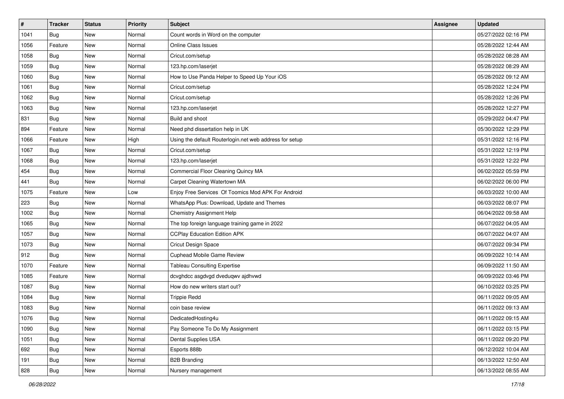| $\vert$ # | <b>Tracker</b> | <b>Status</b> | Priority | <b>Subject</b>                                          | <b>Assignee</b> | <b>Updated</b>      |
|-----------|----------------|---------------|----------|---------------------------------------------------------|-----------------|---------------------|
| 1041      | Bug            | New           | Normal   | Count words in Word on the computer                     |                 | 05/27/2022 02:16 PM |
| 1056      | Feature        | New           | Normal   | <b>Online Class Issues</b>                              |                 | 05/28/2022 12:44 AM |
| 1058      | <b>Bug</b>     | New           | Normal   | Cricut.com/setup                                        |                 | 05/28/2022 08:28 AM |
| 1059      | Bug            | <b>New</b>    | Normal   | 123.hp.com/laserjet                                     |                 | 05/28/2022 08:29 AM |
| 1060      | Bug            | New           | Normal   | How to Use Panda Helper to Speed Up Your iOS            |                 | 05/28/2022 09:12 AM |
| 1061      | <b>Bug</b>     | New           | Normal   | Cricut.com/setup                                        |                 | 05/28/2022 12:24 PM |
| 1062      | Bug            | New           | Normal   | Cricut.com/setup                                        |                 | 05/28/2022 12:26 PM |
| 1063      | Bug            | New           | Normal   | 123.hp.com/laserjet                                     |                 | 05/28/2022 12:27 PM |
| 831       | Bug            | New           | Normal   | Build and shoot                                         |                 | 05/29/2022 04:47 PM |
| 894       | Feature        | New           | Normal   | Need phd dissertation help in UK                        |                 | 05/30/2022 12:29 PM |
| 1066      | Feature        | New           | High     | Using the default Routerlogin.net web address for setup |                 | 05/31/2022 12:16 PM |
| 1067      | Bug            | New           | Normal   | Cricut.com/setup                                        |                 | 05/31/2022 12:19 PM |
| 1068      | Bug            | New           | Normal   | 123.hp.com/laserjet                                     |                 | 05/31/2022 12:22 PM |
| 454       | Bug            | New           | Normal   | Commercial Floor Cleaning Quincy MA                     |                 | 06/02/2022 05:59 PM |
| 441       | Bug            | <b>New</b>    | Normal   | Carpet Cleaning Watertown MA                            |                 | 06/02/2022 06:00 PM |
| 1075      | Feature        | New           | Low      | Enjoy Free Services Of Toomics Mod APK For Android      |                 | 06/03/2022 10:00 AM |
| 223       | Bug            | New           | Normal   | WhatsApp Plus: Download, Update and Themes              |                 | 06/03/2022 08:07 PM |
| 1002      | Bug            | New           | Normal   | <b>Chemistry Assignment Help</b>                        |                 | 06/04/2022 09:58 AM |
| 1065      | Bug            | New           | Normal   | The top foreign language training game in 2022          |                 | 06/07/2022 04:05 AM |
| 1057      | Bug            | <b>New</b>    | Normal   | <b>CCPlay Education Edition APK</b>                     |                 | 06/07/2022 04:07 AM |
| 1073      | Bug            | New           | Normal   | <b>Cricut Design Space</b>                              |                 | 06/07/2022 09:34 PM |
| 912       | Bug            | <b>New</b>    | Normal   | Cuphead Mobile Game Review                              |                 | 06/09/2022 10:14 AM |
| 1070      | Feature        | New           | Normal   | <b>Tableau Consulting Expertise</b>                     |                 | 06/09/2022 11:50 AM |
| 1085      | Feature        | New           | Normal   | dcvghdcc asgdvgd dveduqwv ajdhvwd                       |                 | 06/09/2022 03:46 PM |
| 1087      | Bug            | New           | Normal   | How do new writers start out?                           |                 | 06/10/2022 03:25 PM |
| 1084      | <b>Bug</b>     | New           | Normal   | <b>Trippie Redd</b>                                     |                 | 06/11/2022 09:05 AM |
| 1083      | Bug            | New           | Normal   | coin base review                                        |                 | 06/11/2022 09:13 AM |
| 1076      | <b>Bug</b>     | New           | Normal   | DedicatedHosting4u                                      |                 | 06/11/2022 09:15 AM |
| 1090      | Bug            | New           | Normal   | Pay Someone To Do My Assignment                         |                 | 06/11/2022 03:15 PM |
| 1051      | Bug            | New           | Normal   | Dental Supplies USA                                     |                 | 06/11/2022 09:20 PM |
| 692       | Bug            | New           | Normal   | Esports 888b                                            |                 | 06/12/2022 10:04 AM |
| 191       | <b>Bug</b>     | New           | Normal   | <b>B2B Branding</b>                                     |                 | 06/13/2022 12:50 AM |
| 828       | <b>Bug</b>     | New           | Normal   | Nursery management                                      |                 | 06/13/2022 08:55 AM |